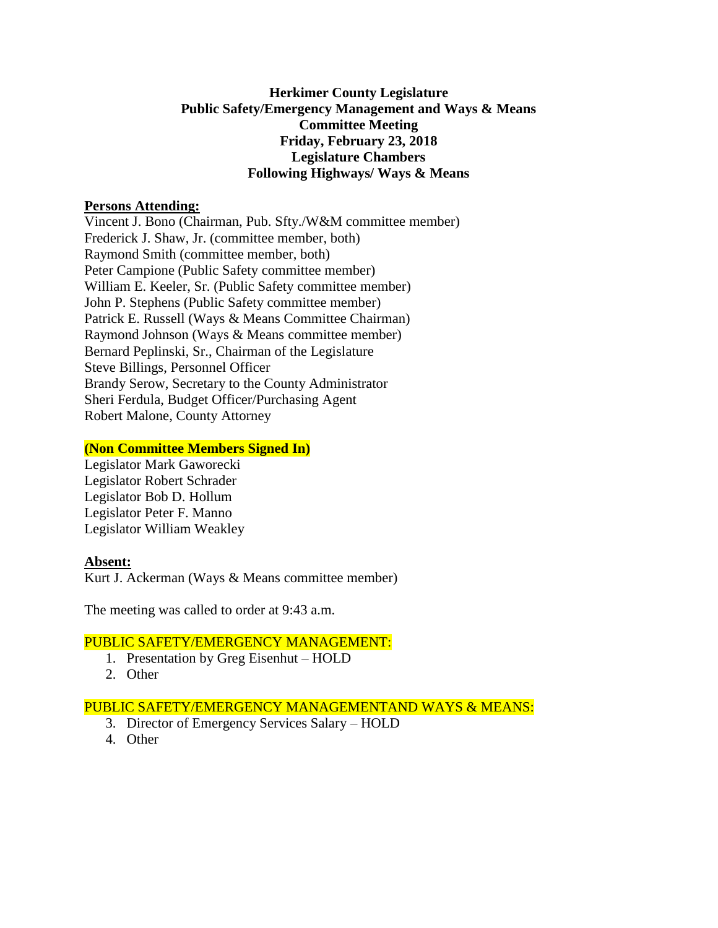# **Herkimer County Legislature Public Safety/Emergency Management and Ways & Means Committee Meeting Friday, February 23, 2018 Legislature Chambers Following Highways/ Ways & Means**

## **Persons Attending:**

Vincent J. Bono (Chairman, Pub. Sfty./W&M committee member) Frederick J. Shaw, Jr. (committee member, both) Raymond Smith (committee member, both) Peter Campione (Public Safety committee member) William E. Keeler, Sr. (Public Safety committee member) John P. Stephens (Public Safety committee member) Patrick E. Russell (Ways & Means Committee Chairman) Raymond Johnson (Ways & Means committee member) Bernard Peplinski, Sr., Chairman of the Legislature Steve Billings, Personnel Officer Brandy Serow, Secretary to the County Administrator Sheri Ferdula, Budget Officer/Purchasing Agent Robert Malone, County Attorney

## **(Non Committee Members Signed In)**

Legislator Mark Gaworecki Legislator Robert Schrader Legislator Bob D. Hollum Legislator Peter F. Manno Legislator William Weakley

# **Absent:**

Kurt J. Ackerman (Ways & Means committee member)

The meeting was called to order at 9:43 a.m.

## PUBLIC SAFETY/EMERGENCY MANAGEMENT:

- 1. Presentation by Greg Eisenhut HOLD
- 2. Other

# PUBLIC SAFETY/EMERGENCY MANAGEMENTAND WAYS & MEANS:

- 3. Director of Emergency Services Salary HOLD
- 4. Other